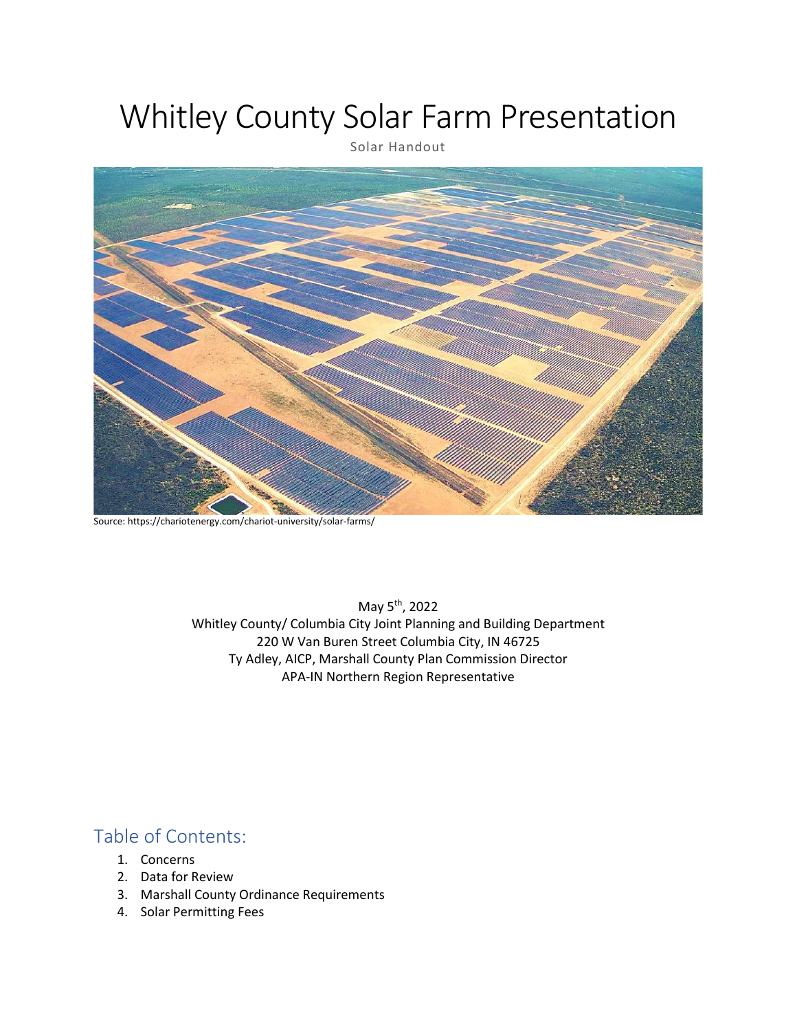# Whitley County Solar Farm Presentation

Solar Handout



Source: https://chariotenergy.com/chariot-university/solar-farms/

May 5th, 2022 Whitley County/ Columbia City Joint Planning and Building Department 220 W Van Buren Street Columbia City, IN 46725 Ty Adley, AICP, Marshall County Plan Commission Director APA-IN Northern Region Representative

## Table of Contents:

- 1. Concerns
- 2. Data for Review
- 3. Marshall County Ordinance Requirements
- 4. Solar Permitting Fees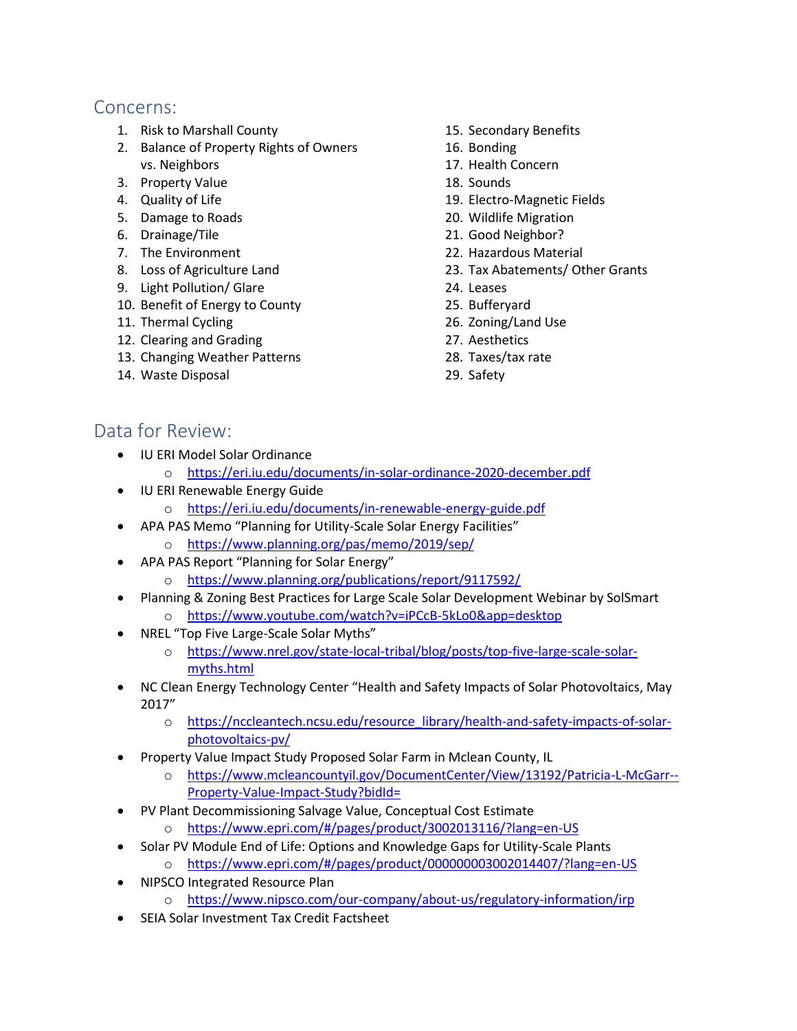## Concerns:

- 1. Risk to Marshall County
- 2. Balance of Property Rights of Owners vs. Neighbors
- 3. Property Value
- 4. Quality of Life
- 5. Damage to Roads
- 6. Drainage/Tile
- 7. The Environment
- 8. Loss of Agriculture Land
- 9. Light Pollution/ Glare
- 10. Benefit of Energy to County
- 11. Thermal Cycling
- 12. Clearing and Grading
- 13. Changing Weather Patterns
- 14. Waste Disposal
- 15. Secondary Benefits
- 16. Bonding
- 17. Health Concern
- 18. Sounds
- 19. Electro-Magnetic Fields
- 20. Wildlife Migration
- 21. Good Neighbor?
- 22. Hazardous Material
- 23. Tax Abatements/ Other Grants
- 24. Leases
- 25. Bufferyard
- 26. Zoning/Land Use
- 27. Aesthetics
- 28. Taxes/tax rate
- 29. Safety

## Data for Review:

- IU ERI Model Solar Ordinance
	- o <https://eri.iu.edu/documents/in-solar-ordinance-2020-december.pdf>
- IU ERI Renewable Energy Guide
	- o <https://eri.iu.edu/documents/in-renewable-energy-guide.pdf>
- APA PAS Memo "Planning for Utility-Scale Solar Energy Facilities"
	- o <https://www.planning.org/pas/memo/2019/sep/>
- APA PAS Report "Planning for Solar Energy"
	- o <https://www.planning.org/publications/report/9117592/>
	- Planning & Zoning Best Practices for Large Scale Solar Development Webinar by SolSmart o <https://www.youtube.com/watch?v=iPCcB-5kLo0&app=desktop>
- NREL "Top Five Large-Scale Solar Myths"
	- o [https://www.nrel.gov/state-local-tribal/blog/posts/top-five-large-scale-solar](https://www.nrel.gov/state-local-tribal/blog/posts/top-five-large-scale-solar-myths.html)[myths.html](https://www.nrel.gov/state-local-tribal/blog/posts/top-five-large-scale-solar-myths.html)
- NC Clean Energy Technology Center "Health and Safety Impacts of Solar Photovoltaics, May 2017"
	- o [https://nccleantech.ncsu.edu/resource\\_library/health-and-safety-impacts-of-solar](https://nccleantech.ncsu.edu/resource_library/health-and-safety-impacts-of-solar-photovoltaics-pv/)[photovoltaics-pv/](https://nccleantech.ncsu.edu/resource_library/health-and-safety-impacts-of-solar-photovoltaics-pv/)
- Property Value Impact Study Proposed Solar Farm in Mclean County, IL
	- o [https://www.mcleancountyil.gov/DocumentCenter/View/13192/Patricia-L-McGarr--](https://www.mcleancountyil.gov/DocumentCenter/View/13192/Patricia-L-McGarr--Property-Value-Impact-Study?bidId=) [Property-Value-Impact-Study?bidId=](https://www.mcleancountyil.gov/DocumentCenter/View/13192/Patricia-L-McGarr--Property-Value-Impact-Study?bidId=)
- PV Plant Decommissioning Salvage Value, Conceptual Cost Estimate
	- o <https://www.epri.com/#/pages/product/3002013116/?lang=en-US>
- Solar PV Module End of Life: Options and Knowledge Gaps for Utility-Scale Plants
	- o <https://www.epri.com/#/pages/product/000000003002014407/?lang=en-US>
- NIPSCO Integrated Resource Plan
	- o <https://www.nipsco.com/our-company/about-us/regulatory-information/irp>
- SEIA Solar Investment Tax Credit Factsheet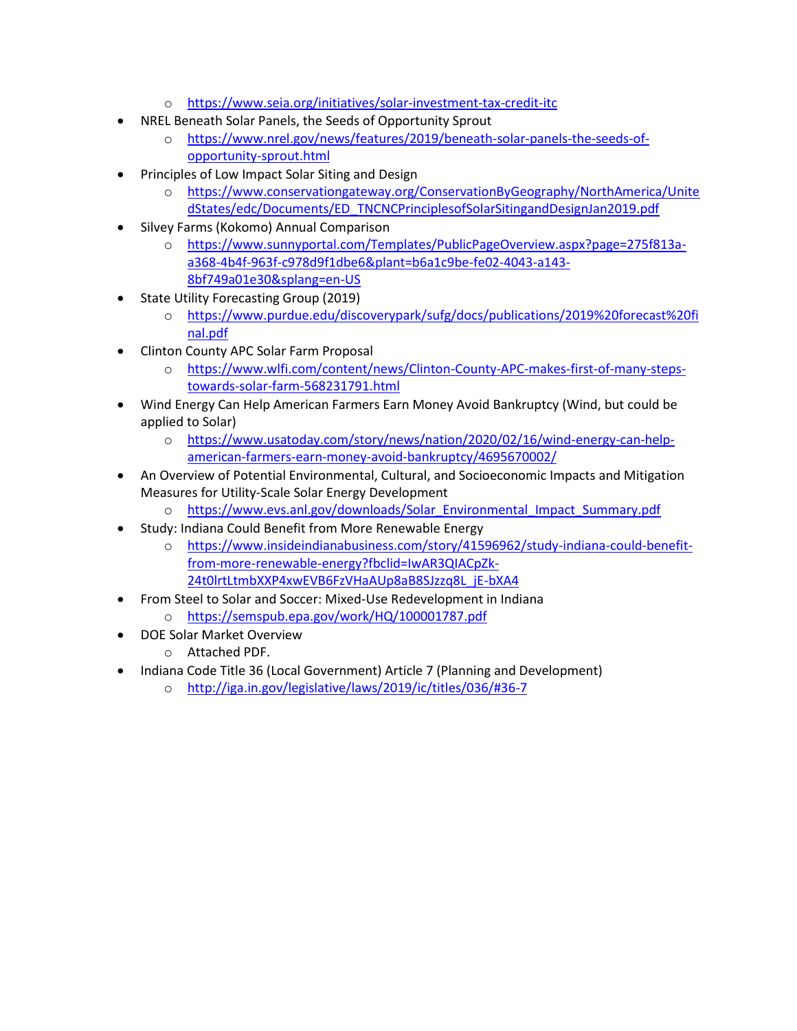- o <https://www.seia.org/initiatives/solar-investment-tax-credit-itc>
- NREL Beneath Solar Panels, the Seeds of Opportunity Sprout
	- o [https://www.nrel.gov/news/features/2019/beneath-solar-panels-the-seeds-of](https://www.nrel.gov/news/features/2019/beneath-solar-panels-the-seeds-of-opportunity-sprout.html)[opportunity-sprout.html](https://www.nrel.gov/news/features/2019/beneath-solar-panels-the-seeds-of-opportunity-sprout.html)
- Principles of Low Impact Solar Siting and Design
	- o [https://www.conservationgateway.org/ConservationByGeography/NorthAmerica/Unite](https://www.conservationgateway.org/ConservationByGeography/NorthAmerica/UnitedStates/edc/Documents/ED_TNCNCPrinciplesofSolarSitingandDesignJan2019.pdf) [dStates/edc/Documents/ED\\_TNCNCPrinciplesofSolarSitingandDesignJan2019.pdf](https://www.conservationgateway.org/ConservationByGeography/NorthAmerica/UnitedStates/edc/Documents/ED_TNCNCPrinciplesofSolarSitingandDesignJan2019.pdf)
- Silvey Farms (Kokomo) Annual Comparison
	- o [https://www.sunnyportal.com/Templates/PublicPageOverview.aspx?page=275f813a](https://www.sunnyportal.com/Templates/PublicPageOverview.aspx?page=275f813a-a368-4b4f-963f-c978d9f1dbe6&plant=b6a1c9be-fe02-4043-a143-8bf749a01e30&splang=en-US)[a368-4b4f-963f-c978d9f1dbe6&plant=b6a1c9be-fe02-4043-a143-](https://www.sunnyportal.com/Templates/PublicPageOverview.aspx?page=275f813a-a368-4b4f-963f-c978d9f1dbe6&plant=b6a1c9be-fe02-4043-a143-8bf749a01e30&splang=en-US) [8bf749a01e30&splang=en-US](https://www.sunnyportal.com/Templates/PublicPageOverview.aspx?page=275f813a-a368-4b4f-963f-c978d9f1dbe6&plant=b6a1c9be-fe02-4043-a143-8bf749a01e30&splang=en-US)
- State Utility Forecasting Group (2019)
	- o [https://www.purdue.edu/discoverypark/sufg/docs/publications/2019%20forecast%20fi](https://www.purdue.edu/discoverypark/sufg/docs/publications/2019%20forecast%20final.pdf) [nal.pdf](https://www.purdue.edu/discoverypark/sufg/docs/publications/2019%20forecast%20final.pdf)
- Clinton County APC Solar Farm Proposal
	- o [https://www.wlfi.com/content/news/Clinton-County-APC-makes-first-of-many-steps](https://www.wlfi.com/content/news/Clinton-County-APC-makes-first-of-many-steps-towards-solar-farm-568231791.html)[towards-solar-farm-568231791.html](https://www.wlfi.com/content/news/Clinton-County-APC-makes-first-of-many-steps-towards-solar-farm-568231791.html)
- Wind Energy Can Help American Farmers Earn Money Avoid Bankruptcy (Wind, but could be applied to Solar)
	- o [https://www.usatoday.com/story/news/nation/2020/02/16/wind-energy-can-help](https://www.usatoday.com/story/news/nation/2020/02/16/wind-energy-can-help-american-farmers-earn-money-avoid-bankruptcy/4695670002/)[american-farmers-earn-money-avoid-bankruptcy/4695670002/](https://www.usatoday.com/story/news/nation/2020/02/16/wind-energy-can-help-american-farmers-earn-money-avoid-bankruptcy/4695670002/)
- An Overview of Potential Environmental, Cultural, and Socioeconomic Impacts and Mitigation Measures for Utility-Scale Solar Energy Development
	- o [https://www.evs.anl.gov/downloads/Solar\\_Environmental\\_Impact\\_Summary.pdf](https://www.evs.anl.gov/downloads/Solar_Environmental_Impact_Summary.pdf)
- Study: Indiana Could Benefit from More Renewable Energy
	- o [https://www.insideindianabusiness.com/story/41596962/study-indiana-could-benefit](https://www.insideindianabusiness.com/story/41596962/study-indiana-could-benefit-from-more-renewable-energy?fbclid=IwAR3QIACpZk-24t0lrtLtmbXXP4xwEVB6FzVHaAUp8aB8SJzzq8L_jE-bXA4)[from-more-renewable-energy?fbclid=IwAR3QIACpZk-](https://www.insideindianabusiness.com/story/41596962/study-indiana-could-benefit-from-more-renewable-energy?fbclid=IwAR3QIACpZk-24t0lrtLtmbXXP4xwEVB6FzVHaAUp8aB8SJzzq8L_jE-bXA4)[24t0lrtLtmbXXP4xwEVB6FzVHaAUp8aB8SJzzq8L\\_jE-bXA4](https://www.insideindianabusiness.com/story/41596962/study-indiana-could-benefit-from-more-renewable-energy?fbclid=IwAR3QIACpZk-24t0lrtLtmbXXP4xwEVB6FzVHaAUp8aB8SJzzq8L_jE-bXA4)
	- From Steel to Solar and Soccer: Mixed-Use Redevelopment in Indiana
		- o <https://semspub.epa.gov/work/HQ/100001787.pdf>
- DOE Solar Market Overview
	- o Attached PDF.
- Indiana Code Title 36 (Local Government) Article 7 (Planning and Development)
	- o <http://iga.in.gov/legislative/laws/2019/ic/titles/036/#36-7>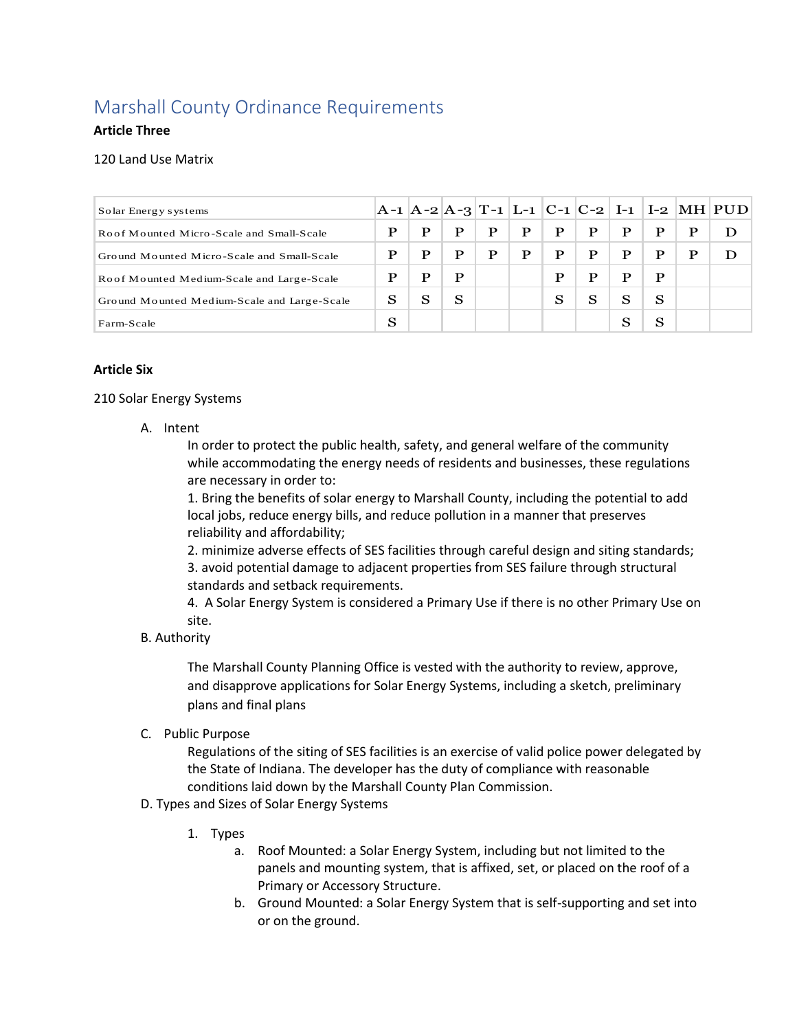## Marshall County Ordinance Requirements

#### **Article Three**

#### 120 Land Use Matrix

| 120 Land Use Matrix                         |   |   |   |   |   |   |             |   |   |   |                                                |
|---------------------------------------------|---|---|---|---|---|---|-------------|---|---|---|------------------------------------------------|
|                                             |   |   |   |   |   |   |             |   |   |   |                                                |
| Solar Energy systems                        |   |   |   |   |   |   |             |   |   |   | $ A-1 A-2 A-3 T-1 L-1 C-1 C-2 I-1 I-2 MH PUD $ |
| Roof Mounted Micro-Scale and Small-Scale    | P | P | P | P | P | P | P           | P | P | P | D                                              |
| Ground Mounted Micro-Scale and Small-Scale  | P | P | P | P | P | P | $\mathbf P$ | P | P | P | D                                              |
| Roof Mounted Medium-Scale and Large-Scale   | P | P | P |   |   | P | $\mathbf P$ | P | P |   |                                                |
| Ground Mounted Medium-Scale and Large-Scale | S | S | S |   |   | S | S           | S | S |   |                                                |
| Farm-Scale                                  | S |   |   |   |   |   |             | S | S |   |                                                |

#### **Article Six**

#### 210 Solar Energy Systems

A. Intent

In order to protect the public health, safety, and general welfare of the community while accommodating the energy needs of residents and businesses, these regulations are necessary in order to:

1. Bring the benefits of solar energy to Marshall County, including the potential to add local jobs, reduce energy bills, and reduce pollution in a manner that preserves reliability and affordability;

2. minimize adverse effects of SES facilities through careful design and siting standards; 3. avoid potential damage to adjacent properties from SES failure through structural standards and setback requirements.

4. A Solar Energy System is considered a Primary Use if there is no other Primary Use on site.

B. Authority

The Marshall County Planning Office is vested with the authority to review, approve, and disapprove applications for Solar Energy Systems, including a sketch, preliminary plans and final plans

C. Public Purpose

Regulations of the siting of SES facilities is an exercise of valid police power delegated by the State of Indiana. The developer has the duty of compliance with reasonable conditions laid down by the Marshall County Plan Commission.

- D. Types and Sizes of Solar Energy Systems
	- 1. Types
		- a. Roof Mounted: a Solar Energy System, including but not limited to the panels and mounting system, that is affixed, set, or placed on the roof of a Primary or Accessory Structure.
		- b. Ground Mounted: a Solar Energy System that is self-supporting and set into or on the ground.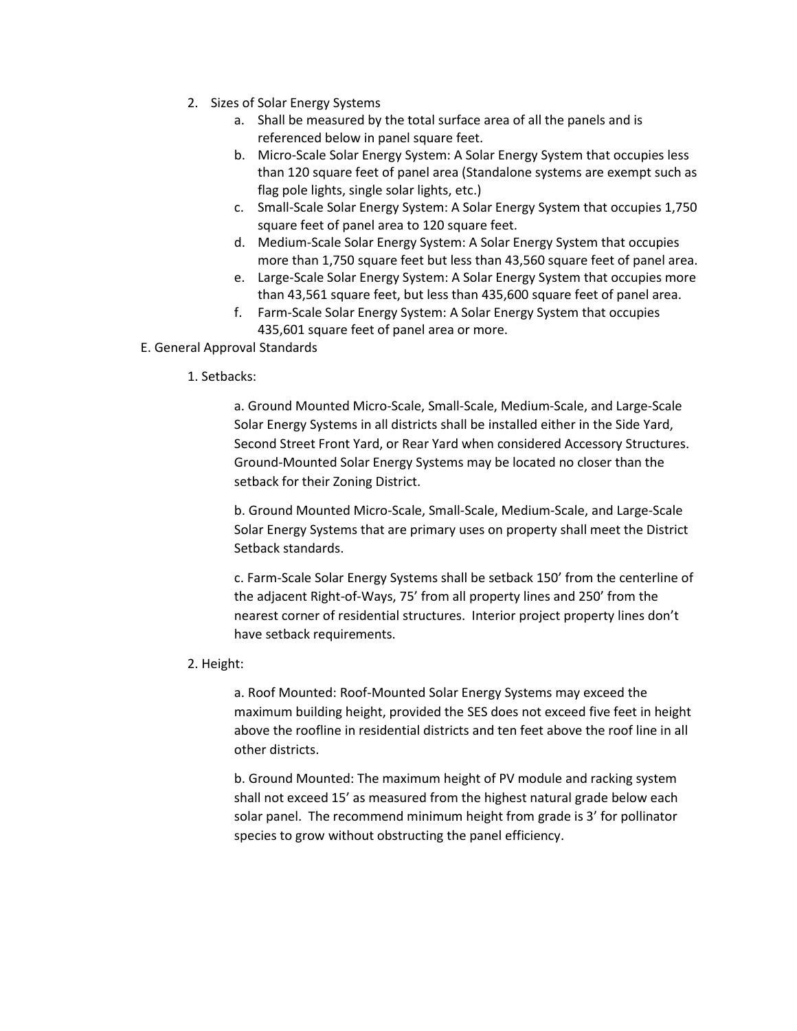- 2. Sizes of Solar Energy Systems
	- a. Shall be measured by the total surface area of all the panels and is referenced below in panel square feet.
	- b. Micro-Scale Solar Energy System: A Solar Energy System that occupies less than 120 square feet of panel area (Standalone systems are exempt such as flag pole lights, single solar lights, etc.)
	- c. Small-Scale Solar Energy System: A Solar Energy System that occupies 1,750 square feet of panel area to 120 square feet.
	- d. Medium-Scale Solar Energy System: A Solar Energy System that occupies more than 1,750 square feet but less than 43,560 square feet of panel area.
	- e. Large-Scale Solar Energy System: A Solar Energy System that occupies more than 43,561 square feet, but less than 435,600 square feet of panel area.
	- f. Farm-Scale Solar Energy System: A Solar Energy System that occupies 435,601 square feet of panel area or more.

#### E. General Approval Standards

#### 1. Setbacks:

a. Ground Mounted Micro-Scale, Small-Scale, Medium-Scale, and Large-Scale Solar Energy Systems in all districts shall be installed either in the Side Yard, Second Street Front Yard, or Rear Yard when considered Accessory Structures. Ground-Mounted Solar Energy Systems may be located no closer than the setback for their Zoning District.

b. Ground Mounted Micro-Scale, Small-Scale, Medium-Scale, and Large-Scale Solar Energy Systems that are primary uses on property shall meet the District Setback standards.

c. Farm-Scale Solar Energy Systems shall be setback 150' from the centerline of the adjacent Right-of-Ways, 75' from all property lines and 250' from the nearest corner of residential structures. Interior project property lines don't have setback requirements.

#### 2. Height:

a. Roof Mounted: Roof-Mounted Solar Energy Systems may exceed the maximum building height, provided the SES does not exceed five feet in height above the roofline in residential districts and ten feet above the roof line in all other districts.

b. Ground Mounted: The maximum height of PV module and racking system shall not exceed 15' as measured from the highest natural grade below each solar panel. The recommend minimum height from grade is 3' for pollinator species to grow without obstructing the panel efficiency.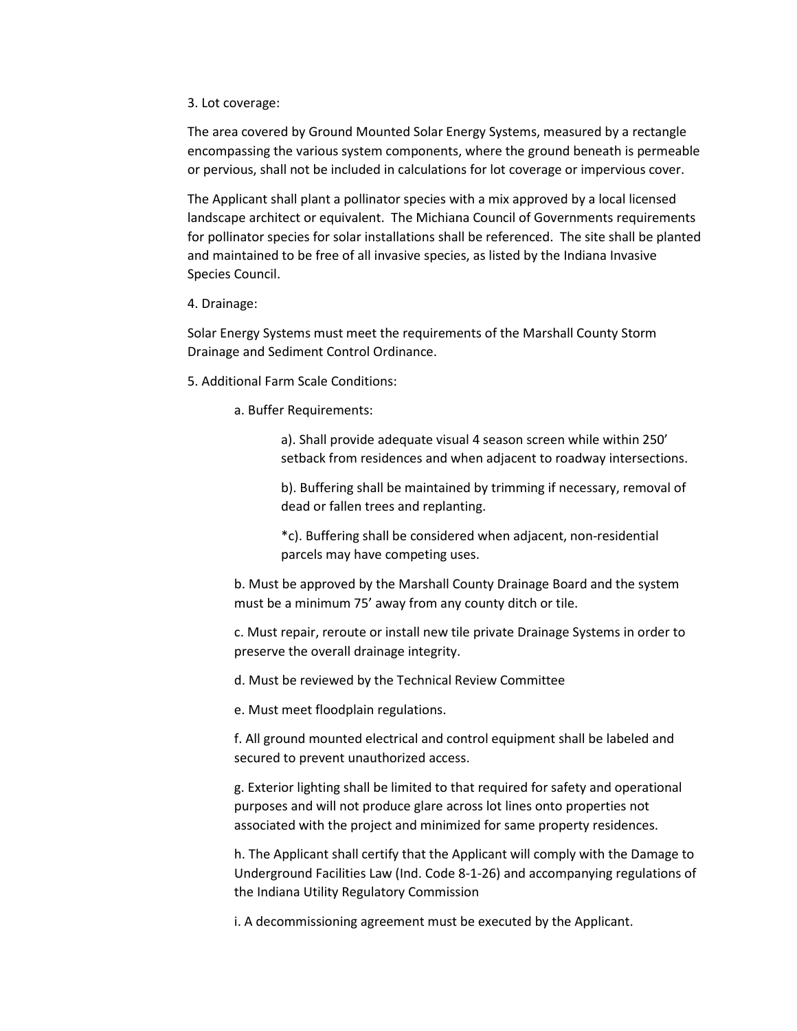3. Lot coverage:

The area covered by Ground Mounted Solar Energy Systems, measured by a rectangle encompassing the various system components, where the ground beneath is permeable or pervious, shall not be included in calculations for lot coverage or impervious cover.

The Applicant shall plant a pollinator species with a mix approved by a local licensed landscape architect or equivalent. The Michiana Council of Governments requirements for pollinator species for solar installations shall be referenced. The site shall be planted and maintained to be free of all invasive species, as listed by the Indiana Invasive Species Council.

4. Drainage:

Solar Energy Systems must meet the requirements of the Marshall County Storm Drainage and Sediment Control Ordinance.

- 5. Additional Farm Scale Conditions:
	- a. Buffer Requirements:

a). Shall provide adequate visual 4 season screen while within 250' setback from residences and when adjacent to roadway intersections.

b). Buffering shall be maintained by trimming if necessary, removal of dead or fallen trees and replanting.

\*c). Buffering shall be considered when adjacent, non-residential parcels may have competing uses.

b. Must be approved by the Marshall County Drainage Board and the system must be a minimum 75' away from any county ditch or tile.

c. Must repair, reroute or install new tile private Drainage Systems in order to preserve the overall drainage integrity.

d. Must be reviewed by the Technical Review Committee

e. Must meet floodplain regulations.

f. All ground mounted electrical and control equipment shall be labeled and secured to prevent unauthorized access.

g. Exterior lighting shall be limited to that required for safety and operational purposes and will not produce glare across lot lines onto properties not associated with the project and minimized for same property residences.

h. The Applicant shall certify that the Applicant will comply with the Damage to Underground Facilities Law (Ind. Code 8-1-26) and accompanying regulations of the Indiana Utility Regulatory Commission

i. A decommissioning agreement must be executed by the Applicant.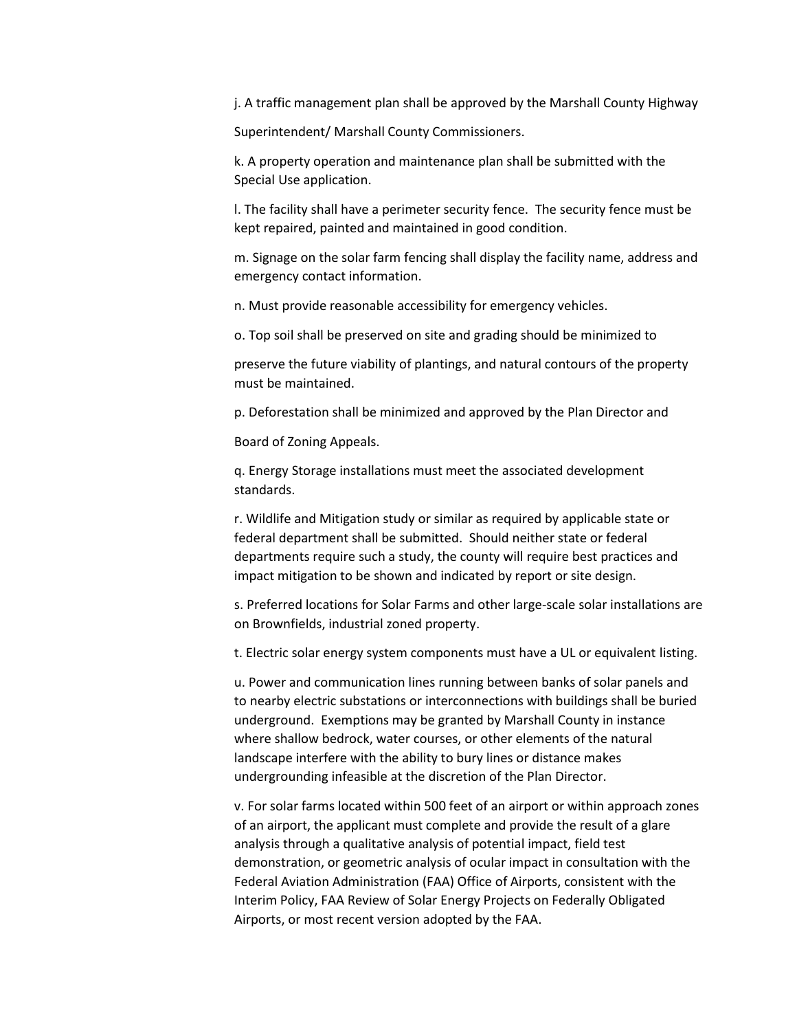j. A traffic management plan shall be approved by the Marshall County Highway

Superintendent/ Marshall County Commissioners.

k. A property operation and maintenance plan shall be submitted with the Special Use application.

l. The facility shall have a perimeter security fence. The security fence must be kept repaired, painted and maintained in good condition.

m. Signage on the solar farm fencing shall display the facility name, address and emergency contact information.

n. Must provide reasonable accessibility for emergency vehicles.

o. Top soil shall be preserved on site and grading should be minimized to

preserve the future viability of plantings, and natural contours of the property must be maintained.

p. Deforestation shall be minimized and approved by the Plan Director and

Board of Zoning Appeals.

q. Energy Storage installations must meet the associated development standards.

r. Wildlife and Mitigation study or similar as required by applicable state or federal department shall be submitted. Should neither state or federal departments require such a study, the county will require best practices and impact mitigation to be shown and indicated by report or site design.

s. Preferred locations for Solar Farms and other large-scale solar installations are on Brownfields, industrial zoned property.

t. Electric solar energy system components must have a UL or equivalent listing.

u. Power and communication lines running between banks of solar panels and to nearby electric substations or interconnections with buildings shall be buried underground. Exemptions may be granted by Marshall County in instance where shallow bedrock, water courses, or other elements of the natural landscape interfere with the ability to bury lines or distance makes undergrounding infeasible at the discretion of the Plan Director.

v. For solar farms located within 500 feet of an airport or within approach zones of an airport, the applicant must complete and provide the result of a glare analysis through a qualitative analysis of potential impact, field test demonstration, or geometric analysis of ocular impact in consultation with the Federal Aviation Administration (FAA) Office of Airports, consistent with the Interim Policy, FAA Review of Solar Energy Projects on Federally Obligated Airports, or most recent version adopted by the FAA.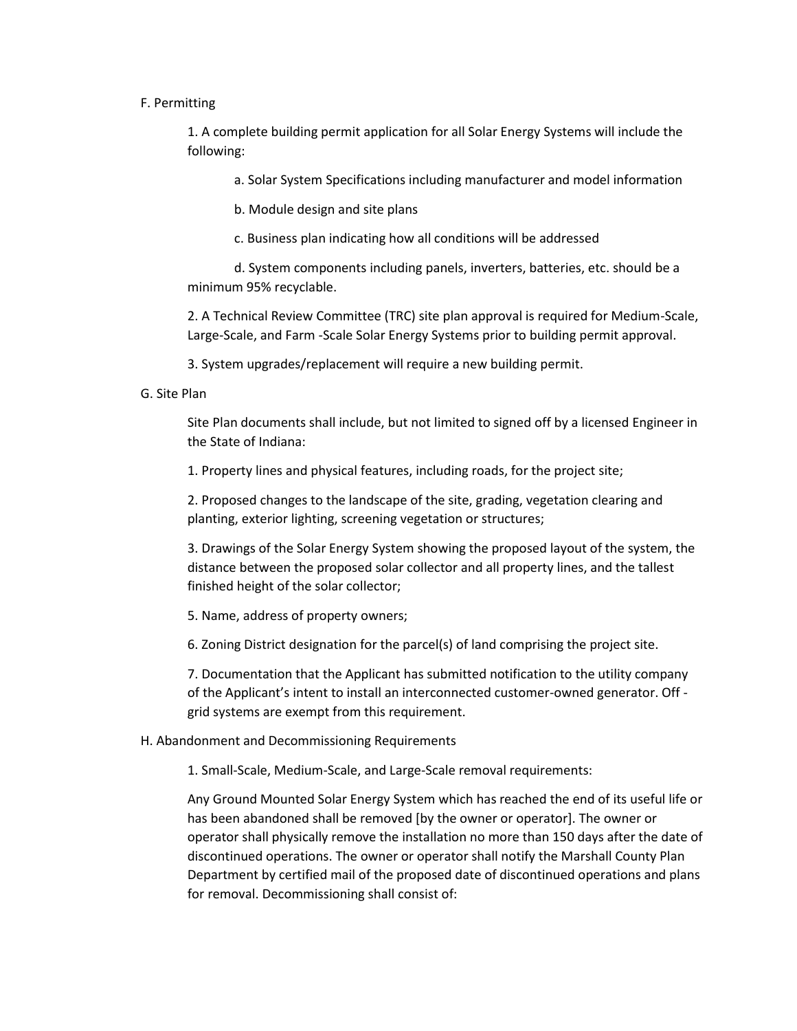#### F. Permitting

1. A complete building permit application for all Solar Energy Systems will include the following:

a. Solar System Specifications including manufacturer and model information

b. Module design and site plans

c. Business plan indicating how all conditions will be addressed

d. System components including panels, inverters, batteries, etc. should be a minimum 95% recyclable.

2. A Technical Review Committee (TRC) site plan approval is required for Medium-Scale, Large-Scale, and Farm -Scale Solar Energy Systems prior to building permit approval.

3. System upgrades/replacement will require a new building permit.

#### G. Site Plan

Site Plan documents shall include, but not limited to signed off by a licensed Engineer in the State of Indiana:

1. Property lines and physical features, including roads, for the project site;

2. Proposed changes to the landscape of the site, grading, vegetation clearing and planting, exterior lighting, screening vegetation or structures;

3. Drawings of the Solar Energy System showing the proposed layout of the system, the distance between the proposed solar collector and all property lines, and the tallest finished height of the solar collector;

5. Name, address of property owners;

6. Zoning District designation for the parcel(s) of land comprising the project site.

7. Documentation that the Applicant has submitted notification to the utility company of the Applicant's intent to install an interconnected customer-owned generator. Off grid systems are exempt from this requirement.

#### H. Abandonment and Decommissioning Requirements

1. Small-Scale, Medium-Scale, and Large-Scale removal requirements:

Any Ground Mounted Solar Energy System which has reached the end of its useful life or has been abandoned shall be removed [by the owner or operator]. The owner or operator shall physically remove the installation no more than 150 days after the date of discontinued operations. The owner or operator shall notify the Marshall County Plan Department by certified mail of the proposed date of discontinued operations and plans for removal. Decommissioning shall consist of: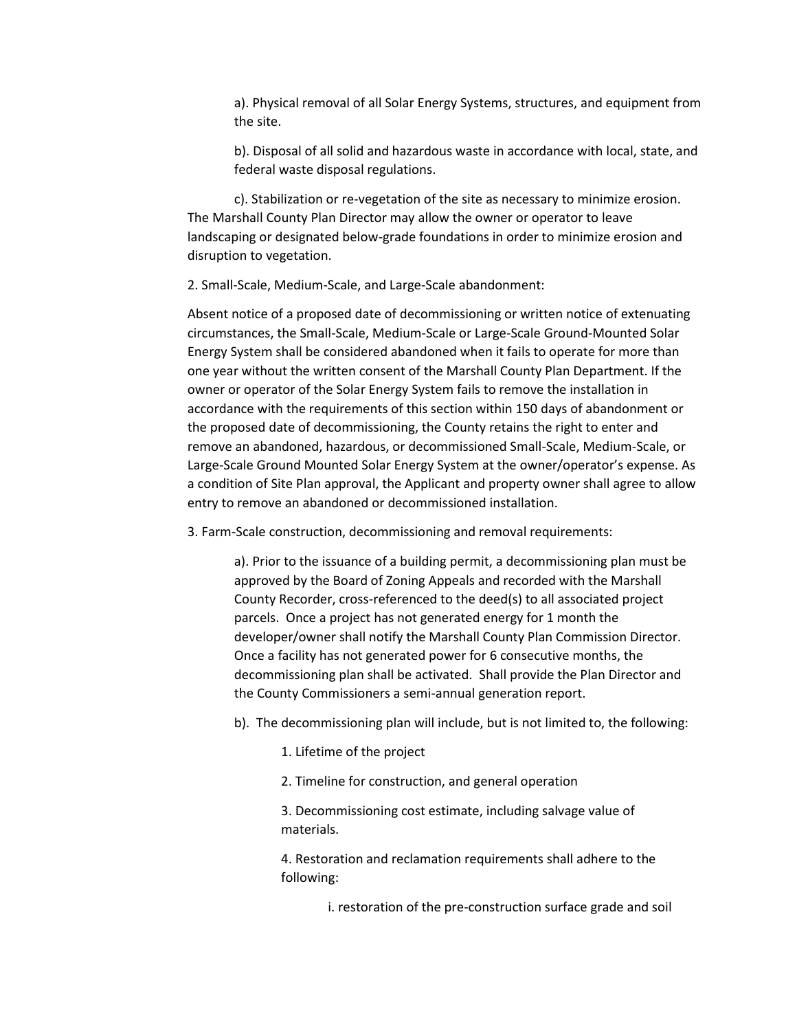a). Physical removal of all Solar Energy Systems, structures, and equipment from the site.

b). Disposal of all solid and hazardous waste in accordance with local, state, and federal waste disposal regulations.

c). Stabilization or re-vegetation of the site as necessary to minimize erosion. The Marshall County Plan Director may allow the owner or operator to leave landscaping or designated below-grade foundations in order to minimize erosion and disruption to vegetation.

2. Small-Scale, Medium-Scale, and Large-Scale abandonment:

Absent notice of a proposed date of decommissioning or written notice of extenuating circumstances, the Small-Scale, Medium-Scale or Large-Scale Ground-Mounted Solar Energy System shall be considered abandoned when it fails to operate for more than one year without the written consent of the Marshall County Plan Department. If the owner or operator of the Solar Energy System fails to remove the installation in accordance with the requirements of this section within 150 days of abandonment or the proposed date of decommissioning, the County retains the right to enter and remove an abandoned, hazardous, or decommissioned Small-Scale, Medium-Scale, or Large-Scale Ground Mounted Solar Energy System at the owner/operator's expense. As a condition of Site Plan approval, the Applicant and property owner shall agree to allow entry to remove an abandoned or decommissioned installation.

3. Farm-Scale construction, decommissioning and removal requirements:

a). Prior to the issuance of a building permit, a decommissioning plan must be approved by the Board of Zoning Appeals and recorded with the Marshall County Recorder, cross-referenced to the deed(s) to all associated project parcels. Once a project has not generated energy for 1 month the developer/owner shall notify the Marshall County Plan Commission Director. Once a facility has not generated power for 6 consecutive months, the decommissioning plan shall be activated. Shall provide the Plan Director and the County Commissioners a semi-annual generation report.

b). The decommissioning plan will include, but is not limited to, the following:

- 1. Lifetime of the project
- 2. Timeline for construction, and general operation

3. Decommissioning cost estimate, including salvage value of materials.

4. Restoration and reclamation requirements shall adhere to the following:

i. restoration of the pre-construction surface grade and soil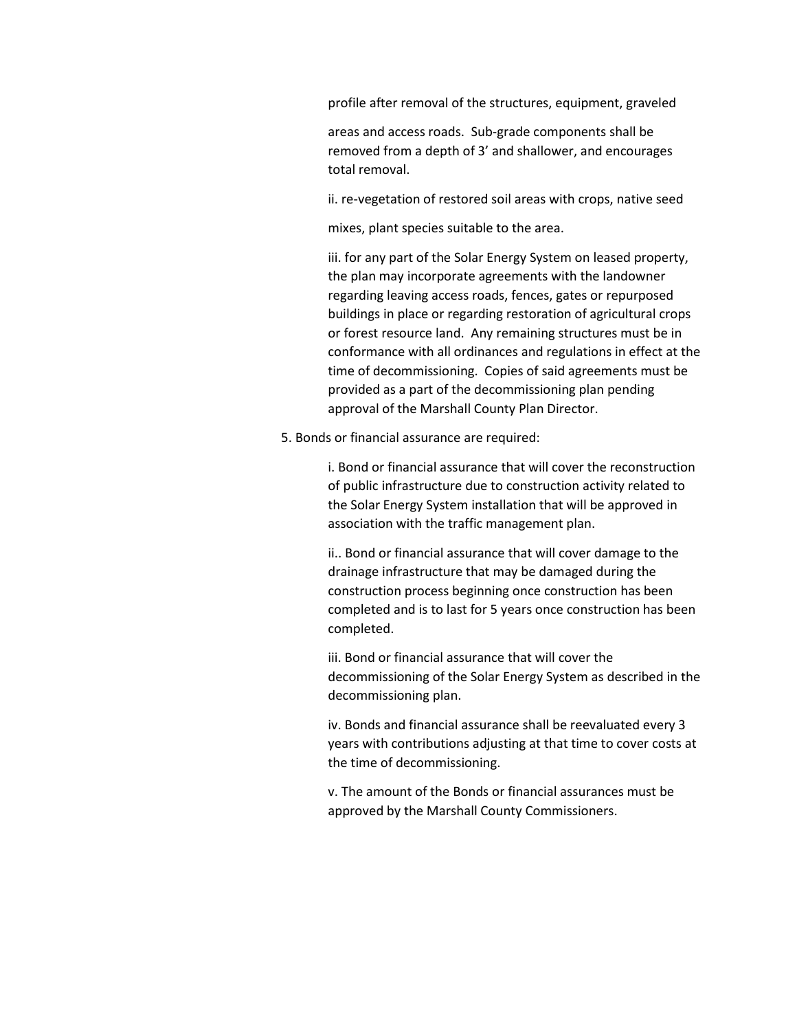profile after removal of the structures, equipment, graveled

areas and access roads. Sub-grade components shall be removed from a depth of 3' and shallower, and encourages total removal.

ii. re-vegetation of restored soil areas with crops, native seed

mixes, plant species suitable to the area.

iii. for any part of the Solar Energy System on leased property, the plan may incorporate agreements with the landowner regarding leaving access roads, fences, gates or repurposed buildings in place or regarding restoration of agricultural crops or forest resource land. Any remaining structures must be in conformance with all ordinances and regulations in effect at the time of decommissioning. Copies of said agreements must be provided as a part of the decommissioning plan pending approval of the Marshall County Plan Director.

5. Bonds or financial assurance are required:

i. Bond or financial assurance that will cover the reconstruction of public infrastructure due to construction activity related to the Solar Energy System installation that will be approved in association with the traffic management plan.

ii.. Bond or financial assurance that will cover damage to the drainage infrastructure that may be damaged during the construction process beginning once construction has been completed and is to last for 5 years once construction has been completed.

iii. Bond or financial assurance that will cover the decommissioning of the Solar Energy System as described in the decommissioning plan.

iv. Bonds and financial assurance shall be reevaluated every 3 years with contributions adjusting at that time to cover costs at the time of decommissioning.

v. The amount of the Bonds or financial assurances must be approved by the Marshall County Commissioners.